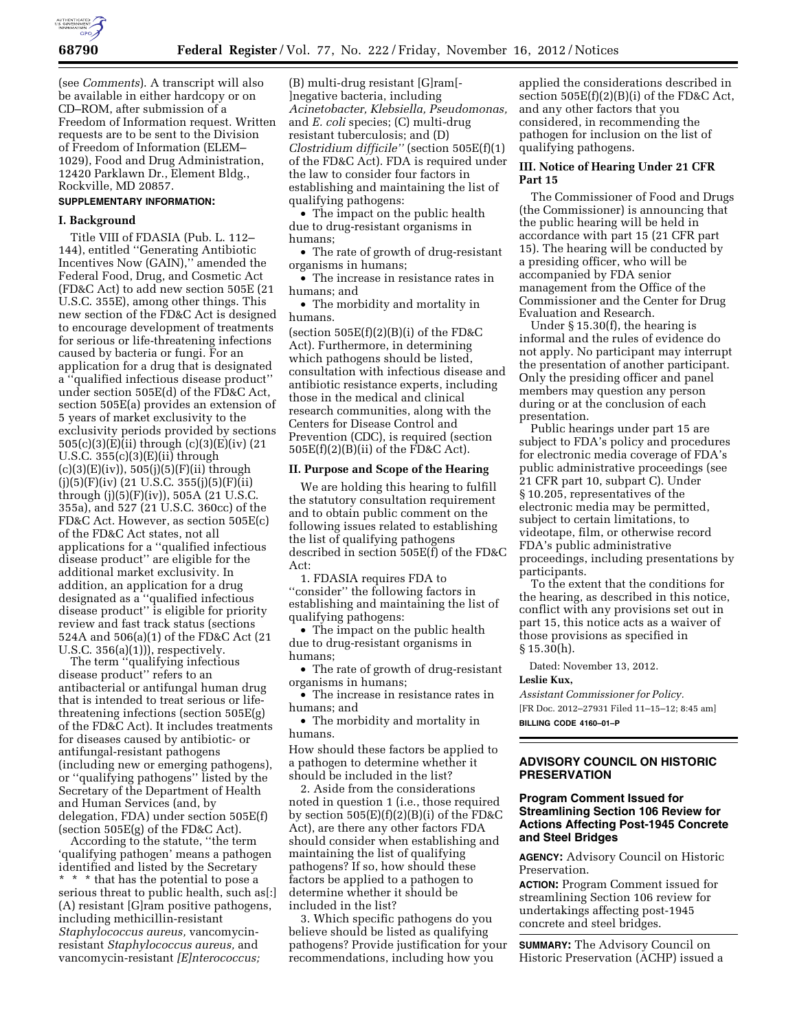

(see *Comments*). A transcript will also be available in either hardcopy or on CD–ROM, after submission of a Freedom of Information request. Written requests are to be sent to the Division of Freedom of Information (ELEM– 1029), Food and Drug Administration, 12420 Parklawn Dr., Element Bldg., Rockville, MD 20857.

# **SUPPLEMENTARY INFORMATION:**

# **I. Background**

Title VIII of FDASIA (Pub. L. 112– 144), entitled ''Generating Antibiotic Incentives Now (GAIN),'' amended the Federal Food, Drug, and Cosmetic Act (FD&C Act) to add new section 505E (21 U.S.C. 355E), among other things. This new section of the FD&C Act is designed to encourage development of treatments for serious or life-threatening infections caused by bacteria or fungi. For an application for a drug that is designated a ''qualified infectious disease product'' under section 505E(d) of the FD&C Act, section 505E(a) provides an extension of 5 years of market exclusivity to the exclusivity periods provided by sections 505(c)(3)(E)(ii) through (c)(3)(E)(iv) (21 U.S.C.  $355(c)(3)(E)(ii)$  through  $(c)(3)(E)(iv)$ , 505 $(j)(5)(F)(ii)$  through  $(j)(5)(F)(iv)$  (21 U.S.C. 355 $(j)(5)(F)(ii)$ ) through (j)(5)(F)(iv)), 505A (21 U.S.C. 355a), and 527 (21 U.S.C. 360cc) of the FD&C Act. However, as section 505E(c) of the FD&C Act states, not all applications for a ''qualified infectious disease product'' are eligible for the additional market exclusivity. In addition, an application for a drug designated as a ''qualified infectious disease product'' is eligible for priority review and fast track status (sections 524A and 506(a)(1) of the FD&C Act (21 U.S.C. 356(a)(1))), respectively.

The term ''qualifying infectious disease product'' refers to an antibacterial or antifungal human drug that is intended to treat serious or lifethreatening infections (section 505E(g) of the FD&C Act). It includes treatments for diseases caused by antibiotic- or antifungal-resistant pathogens (including new or emerging pathogens), or ''qualifying pathogens'' listed by the Secretary of the Department of Health and Human Services (and, by delegation, FDA) under section 505E(f) (section 505E(g) of the FD&C Act).

According to the statute, ''the term 'qualifying pathogen' means a pathogen identified and listed by the Secretary \* \* \* that has the potential to pose a serious threat to public health, such as[:] (A) resistant [G]ram positive pathogens, including methicillin-resistant *Staphylococcus aureus,* vancomycinresistant *Staphylococcus aureus,* and vancomycin-resistant *[E]nterococcus;* 

(B) multi-drug resistant [G]ram[- ]negative bacteria, including *Acinetobacter, Klebsiella, Pseudomonas,*  and *E. coli* species; (C) multi-drug resistant tuberculosis; and (D) *Clostridium difficile''* (section 505E(f)(1) of the FD&C Act). FDA is required under the law to consider four factors in establishing and maintaining the list of qualifying pathogens:

• The impact on the public health due to drug-resistant organisms in humans;

• The rate of growth of drug-resistant organisms in humans;

• The increase in resistance rates in humans; and

• The morbidity and mortality in humans.

(section  $505E(f)(2)(B)(i)$  of the FD&C Act). Furthermore, in determining which pathogens should be listed, consultation with infectious disease and antibiotic resistance experts, including those in the medical and clinical research communities, along with the Centers for Disease Control and Prevention (CDC), is required (section 505E(f)(2)(B)(ii) of the FD&C Act).

## **II. Purpose and Scope of the Hearing**

We are holding this hearing to fulfill the statutory consultation requirement and to obtain public comment on the following issues related to establishing the list of qualifying pathogens described in section 505E(f) of the FD&C Act:

1. FDASIA requires FDA to ''consider'' the following factors in establishing and maintaining the list of qualifying pathogens:

• The impact on the public health due to drug-resistant organisms in humans;

• The rate of growth of drug-resistant organisms in humans;

• The increase in resistance rates in humans; and

• The morbidity and mortality in humans.

How should these factors be applied to a pathogen to determine whether it should be included in the list?

2. Aside from the considerations noted in question 1 (i.e., those required by section  $505(E)(f)(2)(B)(i)$  of the FD&C Act), are there any other factors FDA should consider when establishing and maintaining the list of qualifying pathogens? If so, how should these factors be applied to a pathogen to determine whether it should be included in the list?

3. Which specific pathogens do you believe should be listed as qualifying pathogens? Provide justification for your recommendations, including how you

applied the considerations described in section 505E(f)(2)(B)(i) of the FD&C Act, and any other factors that you considered, in recommending the pathogen for inclusion on the list of qualifying pathogens.

# **III. Notice of Hearing Under 21 CFR Part 15**

The Commissioner of Food and Drugs (the Commissioner) is announcing that the public hearing will be held in accordance with part 15 (21 CFR part 15). The hearing will be conducted by a presiding officer, who will be accompanied by FDA senior management from the Office of the Commissioner and the Center for Drug Evaluation and Research.

Under § 15.30(f), the hearing is informal and the rules of evidence do not apply. No participant may interrupt the presentation of another participant. Only the presiding officer and panel members may question any person during or at the conclusion of each presentation.

Public hearings under part 15 are subject to FDA's policy and procedures for electronic media coverage of FDA's public administrative proceedings (see 21 CFR part 10, subpart C). Under § 10.205, representatives of the electronic media may be permitted, subject to certain limitations, to videotape, film, or otherwise record FDA's public administrative proceedings, including presentations by participants.

To the extent that the conditions for the hearing, as described in this notice, conflict with any provisions set out in part 15, this notice acts as a waiver of those provisions as specified in  $§ 15.30(h).$ 

Dated: November 13, 2012.

### **Leslie Kux,**

*Assistant Commissioner for Policy.*  [FR Doc. 2012–27931 Filed 11–15–12; 8:45 am] **BILLING CODE 4160–01–P** 

## **ADVISORY COUNCIL ON HISTORIC PRESERVATION**

# **Program Comment Issued for Streamlining Section 106 Review for Actions Affecting Post-1945 Concrete and Steel Bridges**

**AGENCY:** Advisory Council on Historic Preservation.

**ACTION:** Program Comment issued for streamlining Section 106 review for undertakings affecting post-1945 concrete and steel bridges.

**SUMMARY:** The Advisory Council on Historic Preservation (ACHP) issued a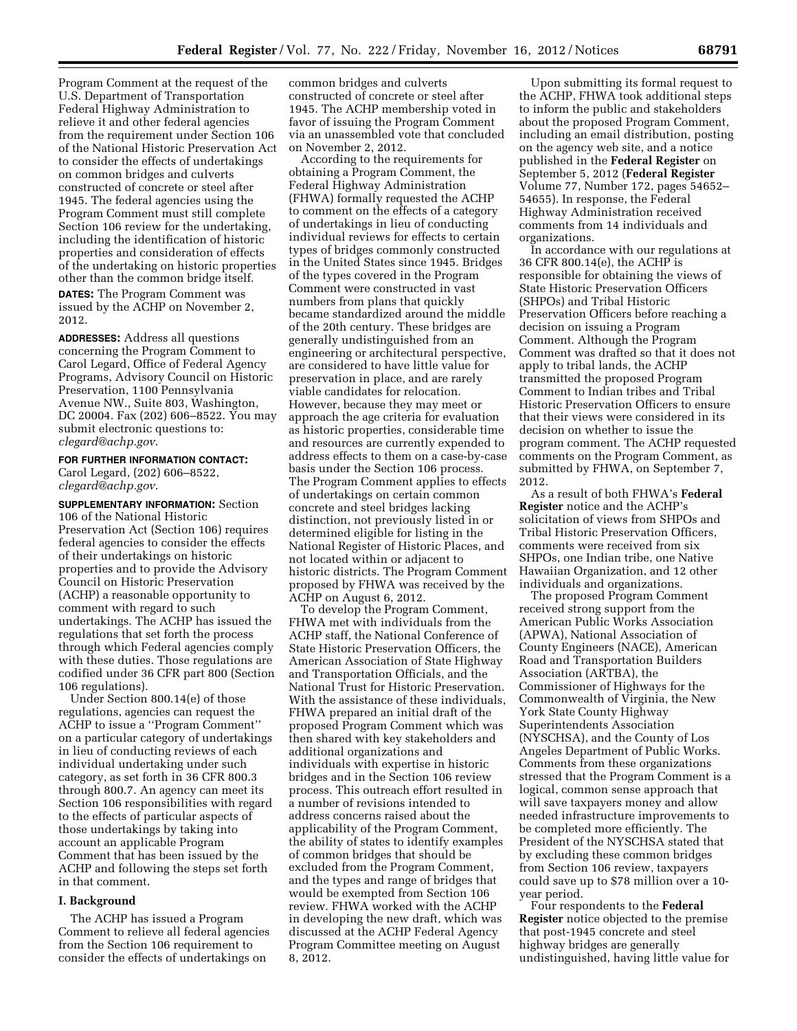Program Comment at the request of the U.S. Department of Transportation Federal Highway Administration to relieve it and other federal agencies from the requirement under Section 106 of the National Historic Preservation Act to consider the effects of undertakings on common bridges and culverts constructed of concrete or steel after 1945. The federal agencies using the Program Comment must still complete Section 106 review for the undertaking, including the identification of historic properties and consideration of effects of the undertaking on historic properties other than the common bridge itself.

**DATES:** The Program Comment was issued by the ACHP on November 2, 2012.

**ADDRESSES:** Address all questions concerning the Program Comment to Carol Legard, Office of Federal Agency Programs, Advisory Council on Historic Preservation, 1100 Pennsylvania Avenue NW., Suite 803, Washington, DC 20004. Fax (202) 606–8522. You may submit electronic questions to: *[clegard@achp.gov](mailto:clegard@achp.gov)*.

**FOR FURTHER INFORMATION CONTACT:**  Carol Legard, (202) 606–8522, *[clegard@achp.gov](mailto:clegard@achp.gov)*.

**SUPPLEMENTARY INFORMATION:** Section 106 of the National Historic Preservation Act (Section 106) requires federal agencies to consider the effects of their undertakings on historic properties and to provide the Advisory Council on Historic Preservation (ACHP) a reasonable opportunity to comment with regard to such undertakings. The ACHP has issued the regulations that set forth the process through which Federal agencies comply with these duties. Those regulations are codified under 36 CFR part 800 (Section 106 regulations).

Under Section 800.14(e) of those regulations, agencies can request the ACHP to issue a ''Program Comment'' on a particular category of undertakings in lieu of conducting reviews of each individual undertaking under such category, as set forth in 36 CFR 800.3 through 800.7. An agency can meet its Section 106 responsibilities with regard to the effects of particular aspects of those undertakings by taking into account an applicable Program Comment that has been issued by the ACHP and following the steps set forth in that comment.

#### **I. Background**

The ACHP has issued a Program Comment to relieve all federal agencies from the Section 106 requirement to consider the effects of undertakings on

common bridges and culverts constructed of concrete or steel after 1945. The ACHP membership voted in favor of issuing the Program Comment via an unassembled vote that concluded on November 2, 2012.

According to the requirements for obtaining a Program Comment, the Federal Highway Administration (FHWA) formally requested the ACHP to comment on the effects of a category of undertakings in lieu of conducting individual reviews for effects to certain types of bridges commonly constructed in the United States since 1945. Bridges of the types covered in the Program Comment were constructed in vast numbers from plans that quickly became standardized around the middle of the 20th century. These bridges are generally undistinguished from an engineering or architectural perspective, are considered to have little value for preservation in place, and are rarely viable candidates for relocation. However, because they may meet or approach the age criteria for evaluation as historic properties, considerable time and resources are currently expended to address effects to them on a case-by-case basis under the Section 106 process. The Program Comment applies to effects of undertakings on certain common concrete and steel bridges lacking distinction, not previously listed in or determined eligible for listing in the National Register of Historic Places, and not located within or adjacent to historic districts. The Program Comment proposed by FHWA was received by the ACHP on August 6, 2012.

To develop the Program Comment, FHWA met with individuals from the ACHP staff, the National Conference of State Historic Preservation Officers, the American Association of State Highway and Transportation Officials, and the National Trust for Historic Preservation. With the assistance of these individuals, FHWA prepared an initial draft of the proposed Program Comment which was then shared with key stakeholders and additional organizations and individuals with expertise in historic bridges and in the Section 106 review process. This outreach effort resulted in a number of revisions intended to address concerns raised about the applicability of the Program Comment, the ability of states to identify examples of common bridges that should be excluded from the Program Comment, and the types and range of bridges that would be exempted from Section 106 review. FHWA worked with the ACHP in developing the new draft, which was discussed at the ACHP Federal Agency Program Committee meeting on August 8, 2012.

Upon submitting its formal request to the ACHP, FHWA took additional steps to inform the public and stakeholders about the proposed Program Comment, including an email distribution, posting on the agency web site, and a notice published in the **Federal Register** on September 5, 2012 (**Federal Register**  Volume 77, Number 172, pages 54652– 54655). In response, the Federal Highway Administration received comments from 14 individuals and organizations.

In accordance with our regulations at 36 CFR 800.14(e), the ACHP is responsible for obtaining the views of State Historic Preservation Officers (SHPOs) and Tribal Historic Preservation Officers before reaching a decision on issuing a Program Comment. Although the Program Comment was drafted so that it does not apply to tribal lands, the ACHP transmitted the proposed Program Comment to Indian tribes and Tribal Historic Preservation Officers to ensure that their views were considered in its decision on whether to issue the program comment. The ACHP requested comments on the Program Comment, as submitted by FHWA, on September 7, 2012.

As a result of both FHWA's **Federal Register** notice and the ACHP's solicitation of views from SHPOs and Tribal Historic Preservation Officers, comments were received from six SHPOs, one Indian tribe, one Native Hawaiian Organization, and 12 other individuals and organizations.

The proposed Program Comment received strong support from the American Public Works Association (APWA), National Association of County Engineers (NACE), American Road and Transportation Builders Association (ARTBA), the Commissioner of Highways for the Commonwealth of Virginia, the New York State County Highway Superintendents Association (NYSCHSA), and the County of Los Angeles Department of Public Works. Comments from these organizations stressed that the Program Comment is a logical, common sense approach that will save taxpayers money and allow needed infrastructure improvements to be completed more efficiently. The President of the NYSCHSA stated that by excluding these common bridges from Section 106 review, taxpayers could save up to \$78 million over a 10 year period.

Four respondents to the **Federal Register** notice objected to the premise that post-1945 concrete and steel highway bridges are generally undistinguished, having little value for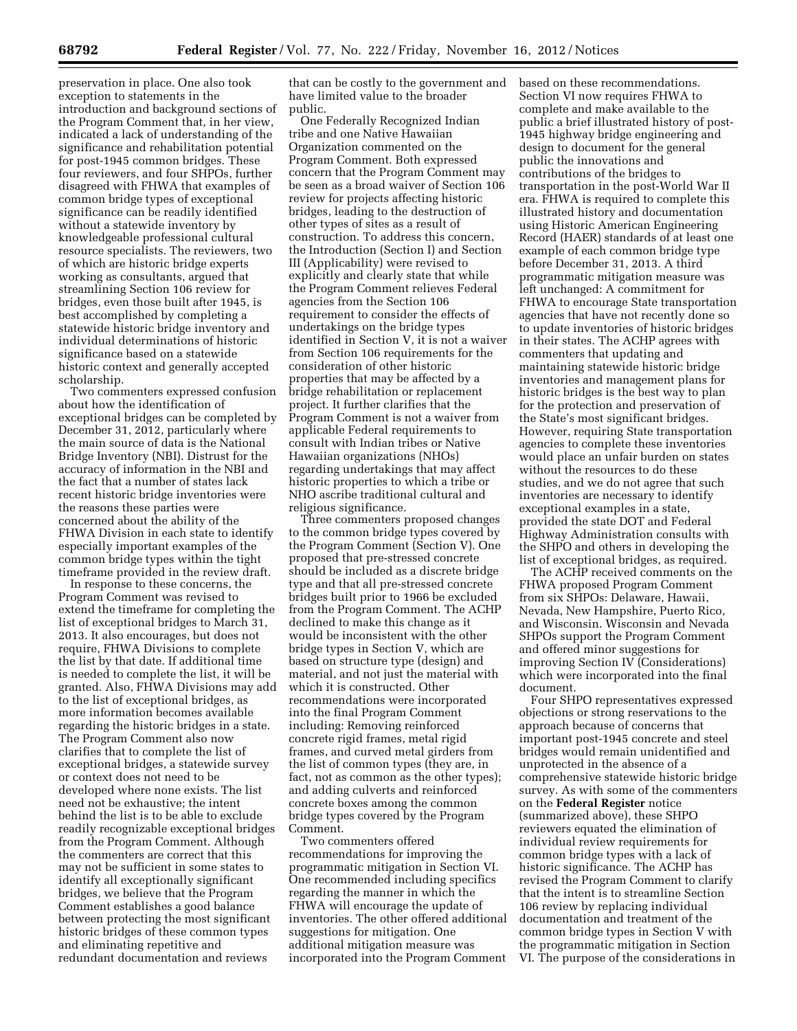preservation in place. One also took exception to statements in the introduction and background sections of the Program Comment that, in her view, indicated a lack of understanding of the significance and rehabilitation potential for post-1945 common bridges. These four reviewers, and four SHPOs, further disagreed with FHWA that examples of common bridge types of exceptional significance can be readily identified without a statewide inventory by knowledgeable professional cultural resource specialists. The reviewers, two of which are historic bridge experts working as consultants, argued that streamlining Section 106 review for bridges, even those built after 1945, is best accomplished by completing a statewide historic bridge inventory and individual determinations of historic significance based on a statewide historic context and generally accepted scholarship.

Two commenters expressed confusion about how the identification of exceptional bridges can be completed by December 31, 2012, particularly where the main source of data is the National Bridge Inventory (NBI). Distrust for the accuracy of information in the NBI and the fact that a number of states lack recent historic bridge inventories were the reasons these parties were concerned about the ability of the FHWA Division in each state to identify especially important examples of the common bridge types within the tight timeframe provided in the review draft.

In response to these concerns, the Program Comment was revised to extend the timeframe for completing the list of exceptional bridges to March 31, 2013. It also encourages, but does not require, FHWA Divisions to complete the list by that date. If additional time is needed to complete the list, it will be granted. Also, FHWA Divisions may add to the list of exceptional bridges, as more information becomes available regarding the historic bridges in a state. The Program Comment also now clarifies that to complete the list of exceptional bridges, a statewide survey or context does not need to be developed where none exists. The list need not be exhaustive; the intent behind the list is to be able to exclude readily recognizable exceptional bridges from the Program Comment. Although the commenters are correct that this may not be sufficient in some states to identify all exceptionally significant bridges, we believe that the Program Comment establishes a good balance between protecting the most significant historic bridges of these common types and eliminating repetitive and redundant documentation and reviews

that can be costly to the government and have limited value to the broader public.

One Federally Recognized Indian tribe and one Native Hawaiian Organization commented on the Program Comment. Both expressed concern that the Program Comment may be seen as a broad waiver of Section 106 review for projects affecting historic bridges, leading to the destruction of other types of sites as a result of construction. To address this concern, the Introduction (Section I) and Section III (Applicability) were revised to explicitly and clearly state that while the Program Comment relieves Federal agencies from the Section 106 requirement to consider the effects of undertakings on the bridge types identified in Section V, it is not a waiver from Section 106 requirements for the consideration of other historic properties that may be affected by a bridge rehabilitation or replacement project. It further clarifies that the Program Comment is not a waiver from applicable Federal requirements to consult with Indian tribes or Native Hawaiian organizations (NHOs) regarding undertakings that may affect historic properties to which a tribe or NHO ascribe traditional cultural and religious significance.

Three commenters proposed changes to the common bridge types covered by the Program Comment (Section V). One proposed that pre-stressed concrete should be included as a discrete bridge type and that all pre-stressed concrete bridges built prior to 1966 be excluded from the Program Comment. The ACHP declined to make this change as it would be inconsistent with the other bridge types in Section V, which are based on structure type (design) and material, and not just the material with which it is constructed. Other recommendations were incorporated into the final Program Comment including: Removing reinforced concrete rigid frames, metal rigid frames, and curved metal girders from the list of common types (they are, in fact, not as common as the other types); and adding culverts and reinforced concrete boxes among the common bridge types covered by the Program Comment.

Two commenters offered recommendations for improving the programmatic mitigation in Section VI. One recommended including specifics regarding the manner in which the FHWA will encourage the update of inventories. The other offered additional suggestions for mitigation. One additional mitigation measure was incorporated into the Program Comment

based on these recommendations. Section VI now requires FHWA to complete and make available to the public a brief illustrated history of post-1945 highway bridge engineering and design to document for the general public the innovations and contributions of the bridges to transportation in the post-World War II era. FHWA is required to complete this illustrated history and documentation using Historic American Engineering Record (HAER) standards of at least one example of each common bridge type before December 31, 2013. A third programmatic mitigation measure was left unchanged: A commitment for FHWA to encourage State transportation agencies that have not recently done so to update inventories of historic bridges in their states. The ACHP agrees with commenters that updating and maintaining statewide historic bridge inventories and management plans for historic bridges is the best way to plan for the protection and preservation of the State's most significant bridges. However, requiring State transportation agencies to complete these inventories would place an unfair burden on states without the resources to do these studies, and we do not agree that such inventories are necessary to identify exceptional examples in a state, provided the state DOT and Federal Highway Administration consults with the SHPO and others in developing the list of exceptional bridges, as required.

The ACHP received comments on the FHWA proposed Program Comment from six SHPOs: Delaware, Hawaii, Nevada, New Hampshire, Puerto Rico, and Wisconsin. Wisconsin and Nevada SHPOs support the Program Comment and offered minor suggestions for improving Section IV (Considerations) which were incorporated into the final document.

Four SHPO representatives expressed objections or strong reservations to the approach because of concerns that important post-1945 concrete and steel bridges would remain unidentified and unprotected in the absence of a comprehensive statewide historic bridge survey. As with some of the commenters on the **Federal Register** notice (summarized above), these SHPO reviewers equated the elimination of individual review requirements for common bridge types with a lack of historic significance. The ACHP has revised the Program Comment to clarify that the intent is to streamline Section 106 review by replacing individual documentation and treatment of the common bridge types in Section V with the programmatic mitigation in Section VI. The purpose of the considerations in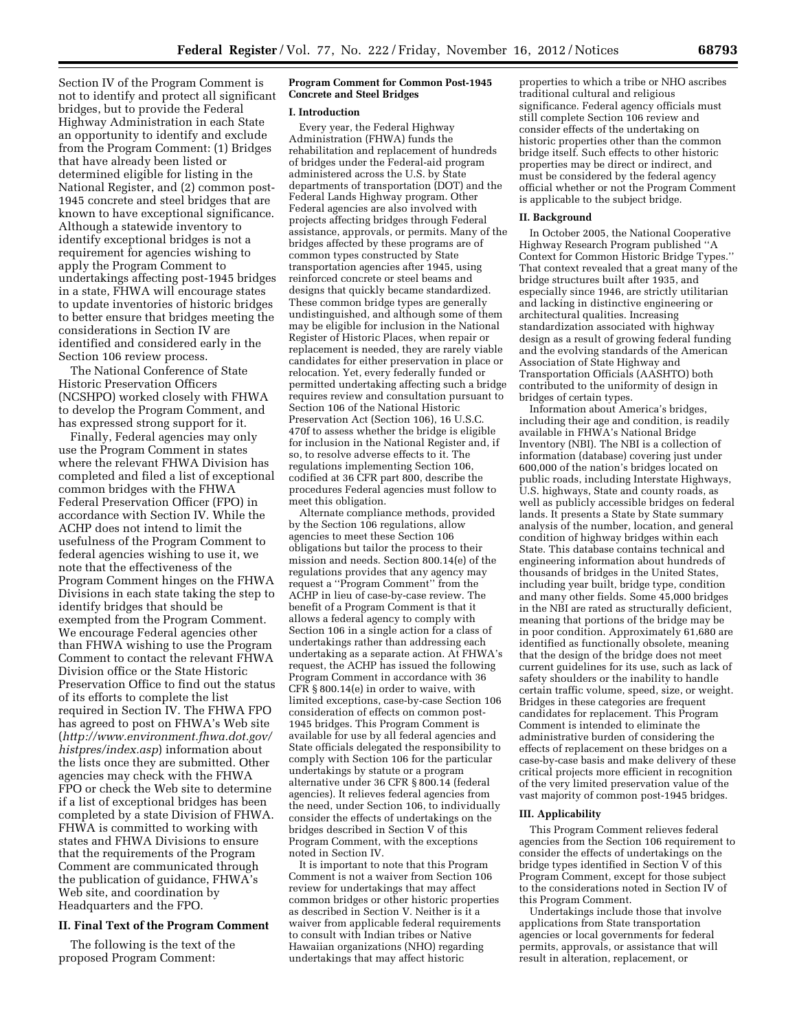Section IV of the Program Comment is not to identify and protect all significant bridges, but to provide the Federal Highway Administration in each State an opportunity to identify and exclude from the Program Comment: (1) Bridges that have already been listed or determined eligible for listing in the National Register, and (2) common post-1945 concrete and steel bridges that are known to have exceptional significance. Although a statewide inventory to identify exceptional bridges is not a requirement for agencies wishing to apply the Program Comment to undertakings affecting post-1945 bridges in a state, FHWA will encourage states to update inventories of historic bridges to better ensure that bridges meeting the considerations in Section IV are identified and considered early in the Section 106 review process.

The National Conference of State Historic Preservation Officers (NCSHPO) worked closely with FHWA to develop the Program Comment, and has expressed strong support for it.

Finally, Federal agencies may only use the Program Comment in states where the relevant FHWA Division has completed and filed a list of exceptional common bridges with the FHWA Federal Preservation Officer (FPO) in accordance with Section IV. While the ACHP does not intend to limit the usefulness of the Program Comment to federal agencies wishing to use it, we note that the effectiveness of the Program Comment hinges on the FHWA Divisions in each state taking the step to identify bridges that should be exempted from the Program Comment. We encourage Federal agencies other than FHWA wishing to use the Program Comment to contact the relevant FHWA Division office or the State Historic Preservation Office to find out the status of its efforts to complete the list required in Section IV. The FHWA FPO has agreed to post on FHWA's Web site (*[http://www.environment.fhwa.dot.gov/](http://www.environment.fhwa.dot.gov/histpres/index.asp) [histpres/index.asp](http://www.environment.fhwa.dot.gov/histpres/index.asp)*) information about the lists once they are submitted. Other agencies may check with the FHWA FPO or check the Web site to determine if a list of exceptional bridges has been completed by a state Division of FHWA. FHWA is committed to working with states and FHWA Divisions to ensure that the requirements of the Program Comment are communicated through the publication of guidance, FHWA's Web site, and coordination by Headquarters and the FPO.

## **II. Final Text of the Program Comment**

The following is the text of the proposed Program Comment:

## **Program Comment for Common Post-1945 Concrete and Steel Bridges**

# **I. Introduction**

Every year, the Federal Highway Administration (FHWA) funds the rehabilitation and replacement of hundreds of bridges under the Federal-aid program administered across the U.S. by State departments of transportation (DOT) and the Federal Lands Highway program. Other Federal agencies are also involved with projects affecting bridges through Federal assistance, approvals, or permits. Many of the bridges affected by these programs are of common types constructed by State transportation agencies after 1945, using reinforced concrete or steel beams and designs that quickly became standardized. These common bridge types are generally undistinguished, and although some of them may be eligible for inclusion in the National Register of Historic Places, when repair or replacement is needed, they are rarely viable candidates for either preservation in place or relocation. Yet, every federally funded or permitted undertaking affecting such a bridge requires review and consultation pursuant to Section 106 of the National Historic Preservation Act (Section 106), 16 U.S.C. 470f to assess whether the bridge is eligible for inclusion in the National Register and, if so, to resolve adverse effects to it. The regulations implementing Section 106, codified at 36 CFR part 800, describe the procedures Federal agencies must follow to meet this obligation.

Alternate compliance methods, provided by the Section 106 regulations, allow agencies to meet these Section 106 obligations but tailor the process to their mission and needs. Section 800.14(e) of the regulations provides that any agency may request a ''Program Comment'' from the ACHP in lieu of case-by-case review. The benefit of a Program Comment is that it allows a federal agency to comply with Section 106 in a single action for a class of undertakings rather than addressing each undertaking as a separate action. At FHWA's request, the ACHP has issued the following Program Comment in accordance with 36 CFR § 800.14(e) in order to waive, with limited exceptions, case-by-case Section 106 consideration of effects on common post-1945 bridges. This Program Comment is available for use by all federal agencies and State officials delegated the responsibility to comply with Section 106 for the particular undertakings by statute or a program alternative under 36 CFR § 800.14 (federal agencies). It relieves federal agencies from the need, under Section 106, to individually consider the effects of undertakings on the bridges described in Section V of this Program Comment, with the exceptions noted in Section IV.

It is important to note that this Program Comment is not a waiver from Section 106 review for undertakings that may affect common bridges or other historic properties as described in Section V. Neither is it a waiver from applicable federal requirements to consult with Indian tribes or Native Hawaiian organizations (NHO) regarding undertakings that may affect historic

properties to which a tribe or NHO ascribes traditional cultural and religious significance. Federal agency officials must still complete Section 106 review and consider effects of the undertaking on historic properties other than the common bridge itself. Such effects to other historic properties may be direct or indirect, and must be considered by the federal agency official whether or not the Program Comment is applicable to the subject bridge.

#### **II. Background**

In October 2005, the National Cooperative Highway Research Program published ''A Context for Common Historic Bridge Types.'' That context revealed that a great many of the bridge structures built after 1935, and especially since 1946, are strictly utilitarian and lacking in distinctive engineering or architectural qualities. Increasing standardization associated with highway design as a result of growing federal funding and the evolving standards of the American Association of State Highway and Transportation Officials (AASHTO) both contributed to the uniformity of design in bridges of certain types.

Information about America's bridges, including their age and condition, is readily available in FHWA's National Bridge Inventory (NBI). The NBI is a collection of information (database) covering just under 600,000 of the nation's bridges located on public roads, including Interstate Highways, U.S. highways, State and county roads, as well as publicly accessible bridges on federal lands. It presents a State by State summary analysis of the number, location, and general condition of highway bridges within each State. This database contains technical and engineering information about hundreds of thousands of bridges in the United States, including year built, bridge type, condition and many other fields. Some 45,000 bridges in the NBI are rated as structurally deficient, meaning that portions of the bridge may be in poor condition. Approximately 61,680 are identified as functionally obsolete, meaning that the design of the bridge does not meet current guidelines for its use, such as lack of safety shoulders or the inability to handle certain traffic volume, speed, size, or weight. Bridges in these categories are frequent candidates for replacement. This Program Comment is intended to eliminate the administrative burden of considering the effects of replacement on these bridges on a case-by-case basis and make delivery of these critical projects more efficient in recognition of the very limited preservation value of the vast majority of common post-1945 bridges.

## **III. Applicability**

This Program Comment relieves federal agencies from the Section 106 requirement to consider the effects of undertakings on the bridge types identified in Section V of this Program Comment, except for those subject to the considerations noted in Section IV of this Program Comment.

Undertakings include those that involve applications from State transportation agencies or local governments for federal permits, approvals, or assistance that will result in alteration, replacement, or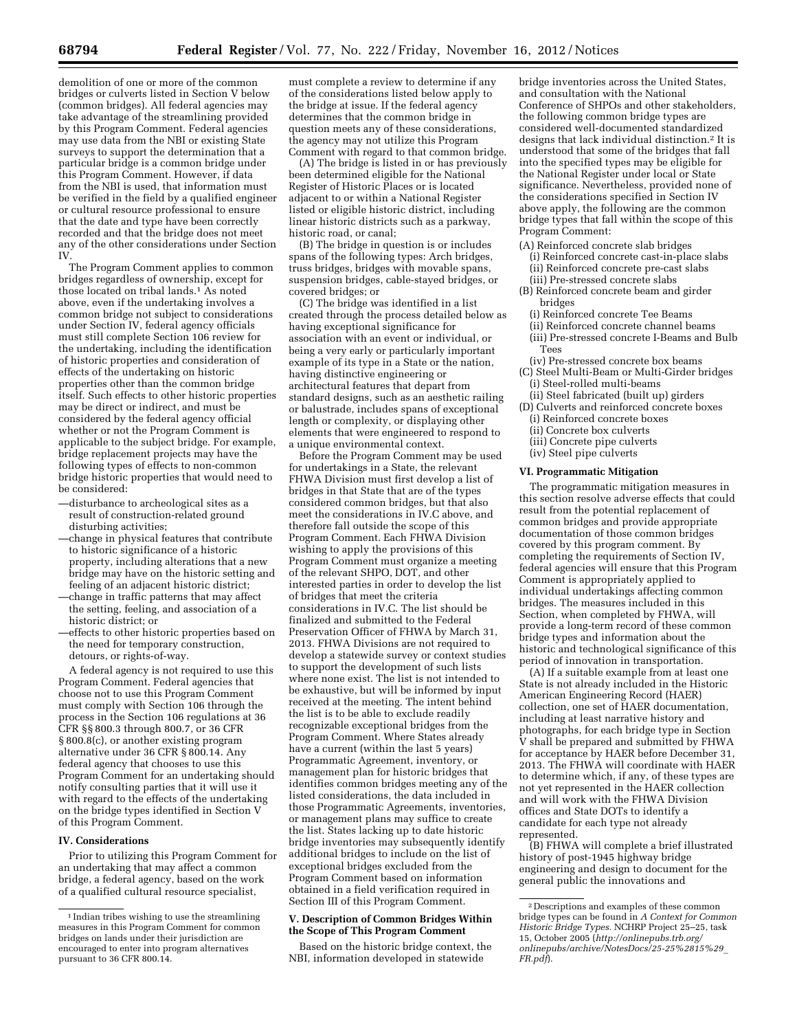demolition of one or more of the common bridges or culverts listed in Section V below (common bridges). All federal agencies may take advantage of the streamlining provided by this Program Comment. Federal agencies may use data from the NBI or existing State surveys to support the determination that a particular bridge is a common bridge under this Program Comment. However, if data from the NBI is used, that information must be verified in the field by a qualified engineer or cultural resource professional to ensure that the date and type have been correctly recorded and that the bridge does not meet any of the other considerations under Section IV.

The Program Comment applies to common bridges regardless of ownership, except for those located on tribal lands.1 As noted above, even if the undertaking involves a common bridge not subject to considerations under Section IV, federal agency officials must still complete Section 106 review for the undertaking, including the identification of historic properties and consideration of effects of the undertaking on historic properties other than the common bridge itself. Such effects to other historic properties may be direct or indirect, and must be considered by the federal agency official whether or not the Program Comment is applicable to the subject bridge. For example, bridge replacement projects may have the following types of effects to non-common bridge historic properties that would need to be considered:

- —disturbance to archeological sites as a result of construction-related ground disturbing activities;
- —change in physical features that contribute to historic significance of a historic property, including alterations that a new bridge may have on the historic setting and feeling of an adjacent historic district;
- —change in traffic patterns that may affect the setting, feeling, and association of a historic district; or
- —effects to other historic properties based on the need for temporary construction, detours, or rights-of-way.

A federal agency is not required to use this Program Comment. Federal agencies that choose not to use this Program Comment must comply with Section 106 through the process in the Section 106 regulations at 36 CFR §§ 800.3 through 800.7, or 36 CFR § 800.8(c), or another existing program alternative under 36 CFR § 800.14. Any federal agency that chooses to use this Program Comment for an undertaking should notify consulting parties that it will use it with regard to the effects of the undertaking on the bridge types identified in Section V of this Program Comment.

### **IV. Considerations**

Prior to utilizing this Program Comment for an undertaking that may affect a common bridge, a federal agency, based on the work of a qualified cultural resource specialist,

must complete a review to determine if any of the considerations listed below apply to the bridge at issue. If the federal agency determines that the common bridge in question meets any of these considerations, the agency may not utilize this Program Comment with regard to that common bridge.

(A) The bridge is listed in or has previously been determined eligible for the National Register of Historic Places or is located adjacent to or within a National Register listed or eligible historic district, including linear historic districts such as a parkway, historic road, or canal;

(B) The bridge in question is or includes spans of the following types: Arch bridges, truss bridges, bridges with movable spans, suspension bridges, cable-stayed bridges, or covered bridges; or

(C) The bridge was identified in a list created through the process detailed below as having exceptional significance for association with an event or individual, or being a very early or particularly important example of its type in a State or the nation, having distinctive engineering or architectural features that depart from standard designs, such as an aesthetic railing or balustrade, includes spans of exceptional length or complexity, or displaying other elements that were engineered to respond to a unique environmental context.

Before the Program Comment may be used for undertakings in a State, the relevant FHWA Division must first develop a list of bridges in that State that are of the types considered common bridges, but that also meet the considerations in IV.C above, and therefore fall outside the scope of this Program Comment. Each FHWA Division wishing to apply the provisions of this Program Comment must organize a meeting of the relevant SHPO, DOT, and other interested parties in order to develop the list of bridges that meet the criteria considerations in IV.C. The list should be finalized and submitted to the Federal Preservation Officer of FHWA by March 31, 2013. FHWA Divisions are not required to develop a statewide survey or context studies to support the development of such lists where none exist. The list is not intended to be exhaustive, but will be informed by input received at the meeting. The intent behind the list is to be able to exclude readily recognizable exceptional bridges from the Program Comment. Where States already have a current (within the last 5 years) Programmatic Agreement, inventory, or management plan for historic bridges that identifies common bridges meeting any of the listed considerations, the data included in those Programmatic Agreements, inventories, or management plans may suffice to create the list. States lacking up to date historic bridge inventories may subsequently identify additional bridges to include on the list of exceptional bridges excluded from the Program Comment based on information obtained in a field verification required in Section III of this Program Comment.

#### **V. Description of Common Bridges Within the Scope of This Program Comment**

Based on the historic bridge context, the NBI, information developed in statewide

bridge inventories across the United States, and consultation with the National Conference of SHPOs and other stakeholders, the following common bridge types are considered well-documented standardized designs that lack individual distinction.2 It is understood that some of the bridges that fall into the specified types may be eligible for the National Register under local or State significance. Nevertheless, provided none of the considerations specified in Section IV above apply, the following are the common bridge types that fall within the scope of this Program Comment:

- (A) Reinforced concrete slab bridges
- (i) Reinforced concrete cast-in-place slabs (ii) Reinforced concrete pre-cast slabs (iii) Pre-stressed concrete slabs
- (B) Reinforced concrete beam and girder bridges
	- (i) Reinforced concrete Tee Beams
	- (ii) Reinforced concrete channel beams
	- (iii) Pre-stressed concrete I-Beams and Bulb Tees
	- (iv) Pre-stressed concrete box beams
- (C) Steel Multi-Beam or Multi-Girder bridges (i) Steel-rolled multi-beams
- (ii) Steel fabricated (built up) girders
- (D) Culverts and reinforced concrete boxes (i) Reinforced concrete boxes
	- (ii) Concrete box culverts
	- (iii) Concrete pipe culverts
	- (iv) Steel pipe culverts

# **VI. Programmatic Mitigation**

The programmatic mitigation measures in this section resolve adverse effects that could result from the potential replacement of common bridges and provide appropriate documentation of those common bridges covered by this program comment. By completing the requirements of Section IV, federal agencies will ensure that this Program Comment is appropriately applied to individual undertakings affecting common bridges. The measures included in this Section, when completed by FHWA, will provide a long-term record of these common bridge types and information about the historic and technological significance of this period of innovation in transportation.

(A) If a suitable example from at least one State is not already included in the Historic American Engineering Record (HAER) collection, one set of HAER documentation, including at least narrative history and photographs, for each bridge type in Section V shall be prepared and submitted by FHWA for acceptance by HAER before December 31, 2013. The FHWA will coordinate with HAER to determine which, if any, of these types are not yet represented in the HAER collection and will work with the FHWA Division offices and State DOTs to identify a candidate for each type not already represented.

(B) FHWA will complete a brief illustrated history of post-1945 highway bridge engineering and design to document for the general public the innovations and

<sup>&</sup>lt;sup>1</sup> Indian tribes wishing to use the streamlining measures in this Program Comment for common bridges on lands under their jurisdiction are encouraged to enter into program alternatives pursuant to 36 CFR 800.14.

<sup>2</sup> Descriptions and examples of these common bridge types can be found in *A Context for Common Historic Bridge Types.* NCHRP Project 25–25, task 15, October 2005 (*[http://onlinepubs.trb.org/](http://onlinepubs.trb.org/onlinepubs/archive/NotesDocs/25-25%2815%29_FR.pdf) [onlinepubs/archive/NotesDocs/25-25%2815%29](http://onlinepubs.trb.org/onlinepubs/archive/NotesDocs/25-25%2815%29_FR.pdf)*\_ *[FR.pdf](http://onlinepubs.trb.org/onlinepubs/archive/NotesDocs/25-25%2815%29_FR.pdf)*).